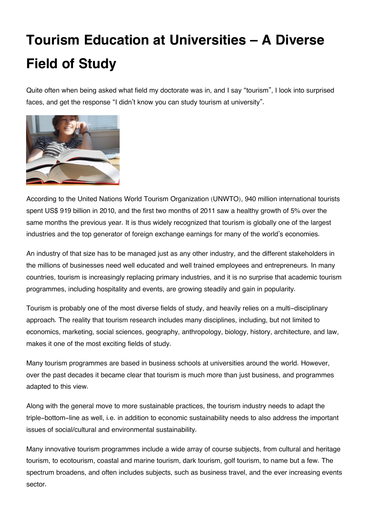## **Tourism Education at Universities – A Diverse Field of Study**

Quite often when being asked what field my doctorate was in, and I say "tourism", I look into surprised faces, and get the response "I didn't know you can study tourism at university".



According to the United Nations World Tourism Organization (UNWTO), 940 million international tourists spent US\$ 919 billion in 2010, and the first two months of 2011 saw a healthy growth of 5% over the same months the previous year. It is thus widely recognized that tourism is globally one of the largest industries and the top generator of foreign exchange earnings for many of the world's economies.

An industry of that size has to be managed just as any other industry, and the different stakeholders in the millions of businesses need well educated and well trained employees and entrepreneurs. In many countries, tourism is increasingly replacing primary industries, and it is no surprise that academic tourism programmes, including hospitality and events, are growing steadily and gain in popularity.

Tourism is probably one of the most diverse fields of study, and heavily relies on a multi-disciplinary approach. The reality that tourism research includes many disciplines, including, but not limited to economics, marketing, social sciences, geography, anthropology, biology, history, architecture, and law, makes it one of the most exciting fields of study.

Many tourism programmes are based in business schools at universities around the world. However, over the past decades it became clear that tourism is much more than just business, and programmes adapted to this view.

Along with the general move to more sustainable practices, the tourism industry needs to adapt the triple-bottom-line as well, i.e. in addition to economic sustainability needs to also address the important issues of social/cultural and environmental sustainability.

Many innovative tourism programmes include a wide array of course subjects, from cultural and heritage tourism, to ecotourism, coastal and marine tourism, dark tourism, golf tourism, to name but a few. The spectrum broadens, and often includes subjects, such as business travel, and the ever increasing events sector.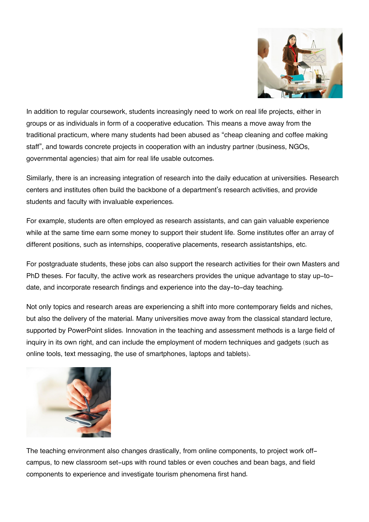

In addition to regular coursework, students increasingly need to work on real life projects, either in groups or as individuals in form of a cooperative education. This means a move away from the traditional practicum, where many students had been abused as "cheap cleaning and coffee making staff", and towards concrete projects in cooperation with an industry partner (business, NGOs, governmental agencies) that aim for real life usable outcomes.

Similarly, there is an increasing integration of research into the daily education at universities. Research centers and institutes often build the backbone of a department's research activities, and provide students and faculty with invaluable experiences.

For example, students are often employed as research assistants, and can gain valuable experience while at the same time earn some money to support their student life. Some institutes offer an array of different positions, such as internships, cooperative placements, research assistantships, etc.

For postgraduate students, these jobs can also support the research activities for their own Masters and PhD theses. For faculty, the active work as researchers provides the unique advantage to stay up-todate, and incorporate research findings and experience into the day-to-day teaching.

Not only topics and research areas are experiencing a shift into more contemporary fields and niches, but also the delivery of the material. Many universities move away from the classical standard lecture, supported by PowerPoint slides. Innovation in the teaching and assessment methods is a large field of inquiry in its own right, and can include the employment of modern techniques and gadgets (such as online tools, text messaging, the use of smartphones, laptops and tablets).



The teaching environment also changes drastically, from online components, to project work offcampus, to new classroom set-ups with round tables or even couches and bean bags, and field components to experience and investigate tourism phenomena first hand.